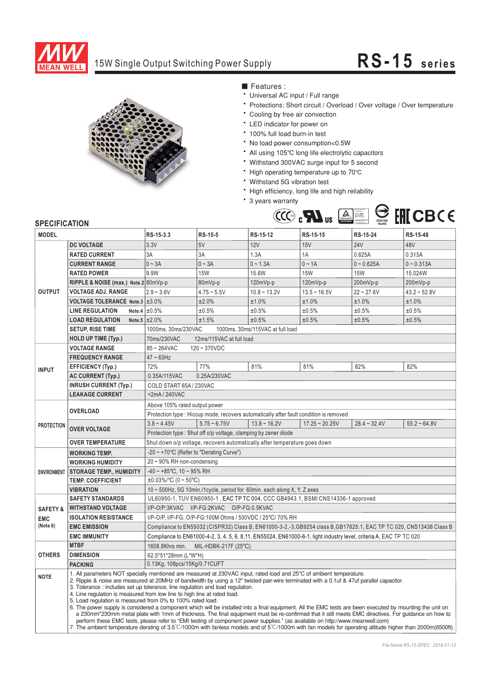

## 15W Single Output Switching Power Supply **RS-15 series**



■ Features :

- \* Universal AC input / Full range
- Protections: Short circuit / Overload / Over voltage / Over temperature
- \* Cooling by free air convection
- LED indicator for power on
- 100% full load burn-in test
- \* No load power consumption<0.5W
- All using 105℃ long life electrolytic capacitors
- Withstand 300VAC surge input for 5 second
- the contract of the congomponent of the contract of the congomponent of the contract of the contract of the contract of the contract of the contract of the contract of the contract of the contract of the contract of the c
- Withstand 5G vibration test
- \* High efficiency, long life and high reliability
- \* 3 years warranty



| <b>MODEL</b>        |                                                                                                                                                                                                                                                                                                                                                                                                                                                                                                                                                                                                                                                                                                                                                                                                                                                                                                                                                                                                                                                                                                               | RS-15-3.3                                                                                                           | <b>RS-15-5</b>                                                 | RS-15-12       | RS-15-15         | RS-15-24       | RS-15-48       |
|---------------------|---------------------------------------------------------------------------------------------------------------------------------------------------------------------------------------------------------------------------------------------------------------------------------------------------------------------------------------------------------------------------------------------------------------------------------------------------------------------------------------------------------------------------------------------------------------------------------------------------------------------------------------------------------------------------------------------------------------------------------------------------------------------------------------------------------------------------------------------------------------------------------------------------------------------------------------------------------------------------------------------------------------------------------------------------------------------------------------------------------------|---------------------------------------------------------------------------------------------------------------------|----------------------------------------------------------------|----------------|------------------|----------------|----------------|
| <b>OUTPUT</b>       | <b>DC VOLTAGE</b>                                                                                                                                                                                                                                                                                                                                                                                                                                                                                                                                                                                                                                                                                                                                                                                                                                                                                                                                                                                                                                                                                             | 3.3V                                                                                                                | 5V                                                             | 12V            | 15V              | <b>24V</b>     | 48V            |
|                     | <b>RATED CURRENT</b>                                                                                                                                                                                                                                                                                                                                                                                                                                                                                                                                                                                                                                                                                                                                                                                                                                                                                                                                                                                                                                                                                          | 3A                                                                                                                  | 3A                                                             | 1.3A           | 1A               | 0.625A         | 0.313A         |
|                     | <b>CURRENT RANGE</b>                                                                                                                                                                                                                                                                                                                                                                                                                                                                                                                                                                                                                                                                                                                                                                                                                                                                                                                                                                                                                                                                                          | $0 - 3A$                                                                                                            | $0 - 3A$                                                       | $0 - 1.3A$     | $0 \sim 1A$      | $0 - 0.625A$   | $0 - 0.313A$   |
|                     | <b>RATED POWER</b>                                                                                                                                                                                                                                                                                                                                                                                                                                                                                                                                                                                                                                                                                                                                                                                                                                                                                                                                                                                                                                                                                            | 9.9W                                                                                                                | <b>15W</b>                                                     | 15.6W          | <b>15W</b>       | <b>15W</b>     | 15.024W        |
|                     | RIPPLE & NOISE (max.) Note.2 80mVp-p                                                                                                                                                                                                                                                                                                                                                                                                                                                                                                                                                                                                                                                                                                                                                                                                                                                                                                                                                                                                                                                                          |                                                                                                                     | 80mVp-p                                                        | 120mVp-p       | 120mVp-p         | 200mVp-p       | 200mVp-p       |
|                     | <b>VOLTAGE ADJ. RANGE</b>                                                                                                                                                                                                                                                                                                                                                                                                                                                                                                                                                                                                                                                                                                                                                                                                                                                                                                                                                                                                                                                                                     | $2.9 - 3.6V$                                                                                                        | $4.75 - 5.5V$                                                  | $10.8 - 13.2V$ | $13.5 - 16.5V$   | $22 - 27.6V$   | $43.2 - 52.8V$ |
|                     | VOLTAGE TOLERANCE Note.3 ±3.0%                                                                                                                                                                                                                                                                                                                                                                                                                                                                                                                                                                                                                                                                                                                                                                                                                                                                                                                                                                                                                                                                                |                                                                                                                     | ±2.0%                                                          | ±1.0%          | ±1.0%            | ±1.0%          | ±1.0%          |
|                     | <b>LINE REGULATION</b>                                                                                                                                                                                                                                                                                                                                                                                                                                                                                                                                                                                                                                                                                                                                                                                                                                                                                                                                                                                                                                                                                        | Note.4 $\pm 0.5\%$                                                                                                  | ±0.5%                                                          | ±0.5%          | ±0.5%            | ±0.5%          | ±0.5%          |
|                     | <b>LOAD REGULATION</b>                                                                                                                                                                                                                                                                                                                                                                                                                                                                                                                                                                                                                                                                                                                                                                                                                                                                                                                                                                                                                                                                                        | Note.5 $\pm 2.0\%$                                                                                                  | ±1.5%                                                          | ±0.5%          | ±0.5%            | ±0.5%          | ±0.5%          |
|                     | <b>SETUP, RISE TIME</b>                                                                                                                                                                                                                                                                                                                                                                                                                                                                                                                                                                                                                                                                                                                                                                                                                                                                                                                                                                                                                                                                                       | 1000ms, 30ms/230VAC<br>1000ms, 30ms/115VAC at full load                                                             |                                                                |                |                  |                |                |
|                     | <b>HOLD UP TIME (Typ.)</b>                                                                                                                                                                                                                                                                                                                                                                                                                                                                                                                                                                                                                                                                                                                                                                                                                                                                                                                                                                                                                                                                                    | 70ms/230VAC<br>12ms/115VAC at full load                                                                             |                                                                |                |                  |                |                |
|                     | <b>VOLTAGE RANGE</b>                                                                                                                                                                                                                                                                                                                                                                                                                                                                                                                                                                                                                                                                                                                                                                                                                                                                                                                                                                                                                                                                                          | $85 - 264$ VAC<br>$120 - 370$ VDC                                                                                   |                                                                |                |                  |                |                |
| <b>INPUT</b>        | <b>FREQUENCY RANGE</b>                                                                                                                                                                                                                                                                                                                                                                                                                                                                                                                                                                                                                                                                                                                                                                                                                                                                                                                                                                                                                                                                                        | $47 \sim 63$ Hz                                                                                                     |                                                                |                |                  |                |                |
|                     | <b>EFFICIENCY (Typ.)</b>                                                                                                                                                                                                                                                                                                                                                                                                                                                                                                                                                                                                                                                                                                                                                                                                                                                                                                                                                                                                                                                                                      | 72%                                                                                                                 | 77%                                                            | 81%            | 81%              | 82%            | 82%            |
|                     | <b>AC CURRENT (Typ.)</b>                                                                                                                                                                                                                                                                                                                                                                                                                                                                                                                                                                                                                                                                                                                                                                                                                                                                                                                                                                                                                                                                                      | 0.35A/115VAC<br>0.25A/230VAC                                                                                        |                                                                |                |                  |                |                |
|                     | <b>INRUSH CURRENT (Typ.)</b>                                                                                                                                                                                                                                                                                                                                                                                                                                                                                                                                                                                                                                                                                                                                                                                                                                                                                                                                                                                                                                                                                  | COLD START 65A / 230VAC                                                                                             |                                                                |                |                  |                |                |
|                     | <b>LEAKAGE CURRENT</b>                                                                                                                                                                                                                                                                                                                                                                                                                                                                                                                                                                                                                                                                                                                                                                                                                                                                                                                                                                                                                                                                                        | <2mA/240VAC                                                                                                         |                                                                |                |                  |                |                |
| <b>PROTECTION</b>   | <b>OVERLOAD</b>                                                                                                                                                                                                                                                                                                                                                                                                                                                                                                                                                                                                                                                                                                                                                                                                                                                                                                                                                                                                                                                                                               | Above 105% rated output power                                                                                       |                                                                |                |                  |                |                |
|                     |                                                                                                                                                                                                                                                                                                                                                                                                                                                                                                                                                                                                                                                                                                                                                                                                                                                                                                                                                                                                                                                                                                               | Protection type : Hiccup mode, recovers automatically after fault condition is removed                              |                                                                |                |                  |                |                |
|                     | <b>OVER VOLTAGE</b>                                                                                                                                                                                                                                                                                                                                                                                                                                                                                                                                                                                                                                                                                                                                                                                                                                                                                                                                                                                                                                                                                           | $3.8 - 4.45V$                                                                                                       | $5.75 - 6.75V$                                                 | $13.8 - 16.2V$ | $17.25 - 20.25V$ | $28.4 - 32.4V$ | $55.2 - 64.8V$ |
|                     |                                                                                                                                                                                                                                                                                                                                                                                                                                                                                                                                                                                                                                                                                                                                                                                                                                                                                                                                                                                                                                                                                                               |                                                                                                                     | Protection type: Shut off o/p voltage, clamping by zener diode |                |                  |                |                |
|                     | <b>OVER TEMPERATURE</b>                                                                                                                                                                                                                                                                                                                                                                                                                                                                                                                                                                                                                                                                                                                                                                                                                                                                                                                                                                                                                                                                                       | Shut down o/p voltage, recovers automatically after temperature goes down                                           |                                                                |                |                  |                |                |
|                     | <b>WORKING TEMP.</b>                                                                                                                                                                                                                                                                                                                                                                                                                                                                                                                                                                                                                                                                                                                                                                                                                                                                                                                                                                                                                                                                                          | -20 ~ +70°C (Refer to "Derating Curve")                                                                             |                                                                |                |                  |                |                |
| <b>ENVIRONMENT</b>  | <b>WORKING HUMIDITY</b>                                                                                                                                                                                                                                                                                                                                                                                                                                                                                                                                                                                                                                                                                                                                                                                                                                                                                                                                                                                                                                                                                       | $20 \sim 90\%$ RH non-condensing                                                                                    |                                                                |                |                  |                |                |
|                     | <b>STORAGE TEMP., HUMIDITY</b>                                                                                                                                                                                                                                                                                                                                                                                                                                                                                                                                                                                                                                                                                                                                                                                                                                                                                                                                                                                                                                                                                | $-40 \sim +85^{\circ}$ C, 10 ~ 95% RH                                                                               |                                                                |                |                  |                |                |
|                     | <b>TEMP, COEFFICIENT</b>                                                                                                                                                                                                                                                                                                                                                                                                                                                                                                                                                                                                                                                                                                                                                                                                                                                                                                                                                                                                                                                                                      | $\pm 0.03\%$ /°C (0 ~ 50°C)                                                                                         |                                                                |                |                  |                |                |
|                     | <b>VIBRATION</b>                                                                                                                                                                                                                                                                                                                                                                                                                                                                                                                                                                                                                                                                                                                                                                                                                                                                                                                                                                                                                                                                                              | 10 ~ 500Hz, 5G 10min./1cycle, period for 60min. each along X, Y, Z axes                                             |                                                                |                |                  |                |                |
|                     | <b>SAFETY STANDARDS</b>                                                                                                                                                                                                                                                                                                                                                                                                                                                                                                                                                                                                                                                                                                                                                                                                                                                                                                                                                                                                                                                                                       | UL60950-1, TUV EN60950-1, EAC TP TC 004, CCC GB4943.1, BSMI CNS14336-1 approved                                     |                                                                |                |                  |                |                |
| <b>SAFETY &amp;</b> | <b>WITHSTAND VOLTAGE</b>                                                                                                                                                                                                                                                                                                                                                                                                                                                                                                                                                                                                                                                                                                                                                                                                                                                                                                                                                                                                                                                                                      | I/P-O/P:3KVAC I/P-FG:2KVAC O/P-FG:0.5KVAC                                                                           |                                                                |                |                  |                |                |
| EMC                 | <b>ISOLATION RESISTANCE</b><br>I/P-O/P, I/P-FG, O/P-FG:100M Ohms / 500VDC / 25°C/ 70% RH                                                                                                                                                                                                                                                                                                                                                                                                                                                                                                                                                                                                                                                                                                                                                                                                                                                                                                                                                                                                                      |                                                                                                                     |                                                                |                |                  |                |                |
| (Note 6)            | <b>EMC EMISSION</b>                                                                                                                                                                                                                                                                                                                                                                                                                                                                                                                                                                                                                                                                                                                                                                                                                                                                                                                                                                                                                                                                                           | Compliance to EN55032 (CISPR32) Class B, EN61000-3-2,-3, GB9254 class B, GB17625.1, EAC TP TC 020, CNS13438 Class B |                                                                |                |                  |                |                |
|                     | <b>EMC IMMUNITY</b>                                                                                                                                                                                                                                                                                                                                                                                                                                                                                                                                                                                                                                                                                                                                                                                                                                                                                                                                                                                                                                                                                           | Compliance to EN61000-4-2, 3, 4, 5, 6, 8, 11, EN55024, EN61000-6-1, light industry level, criteria A, EAC TP TC 020 |                                                                |                |                  |                |                |
| <b>OTHERS</b>       | <b>MTBF</b>                                                                                                                                                                                                                                                                                                                                                                                                                                                                                                                                                                                                                                                                                                                                                                                                                                                                                                                                                                                                                                                                                                   | 1608.8Khrs min.<br>MIL-HDBK-217F (25°C)                                                                             |                                                                |                |                  |                |                |
|                     | <b>DIMENSION</b>                                                                                                                                                                                                                                                                                                                                                                                                                                                                                                                                                                                                                                                                                                                                                                                                                                                                                                                                                                                                                                                                                              | 62.5*51*28mm (L*W*H)                                                                                                |                                                                |                |                  |                |                |
|                     | <b>PACKING</b>                                                                                                                                                                                                                                                                                                                                                                                                                                                                                                                                                                                                                                                                                                                                                                                                                                                                                                                                                                                                                                                                                                | 0.13Kg; 108pcs/15Kg/0.71CUFT                                                                                        |                                                                |                |                  |                |                |
| <b>NOTE</b>         | 1. All parameters NOT specially mentioned are measured at 230VAC input, rated load and 25°C of ambient temperature.<br>2. Ripple & noise are measured at 20MHz of bandwidth by using a 12" twisted pair-wire terminated with a 0.1uf & 47uf parallel capacitor.<br>3. Tolerance: includes set up tolerance, line regulation and load regulation.<br>4. Line regulation is measured from low line to high line at rated load.<br>5. Load regulation is measured from 0% to 100% rated load.<br>6. The power supply is considered a component which will be installed into a final equipment. All the EMC tests are been executed by mounting the unit on<br>a 230mm*230mm metal plate with 1mm of thickness. The final equipment must be re-confirmed that it still meets EMC directives. For guidance on how to<br>perform these EMC tests, please refer to "EMI testing of component power supplies." (as available on http://www.meanwell.com)<br>7. The ambient temperature derating of 3.5°C/1000m with fanless models and of 5°C/1000m with fan models for operating altitude higher than 2000m(6500ft). |                                                                                                                     |                                                                |                |                  |                |                |
|                     |                                                                                                                                                                                                                                                                                                                                                                                                                                                                                                                                                                                                                                                                                                                                                                                                                                                                                                                                                                                                                                                                                                               |                                                                                                                     |                                                                |                |                  |                |                |